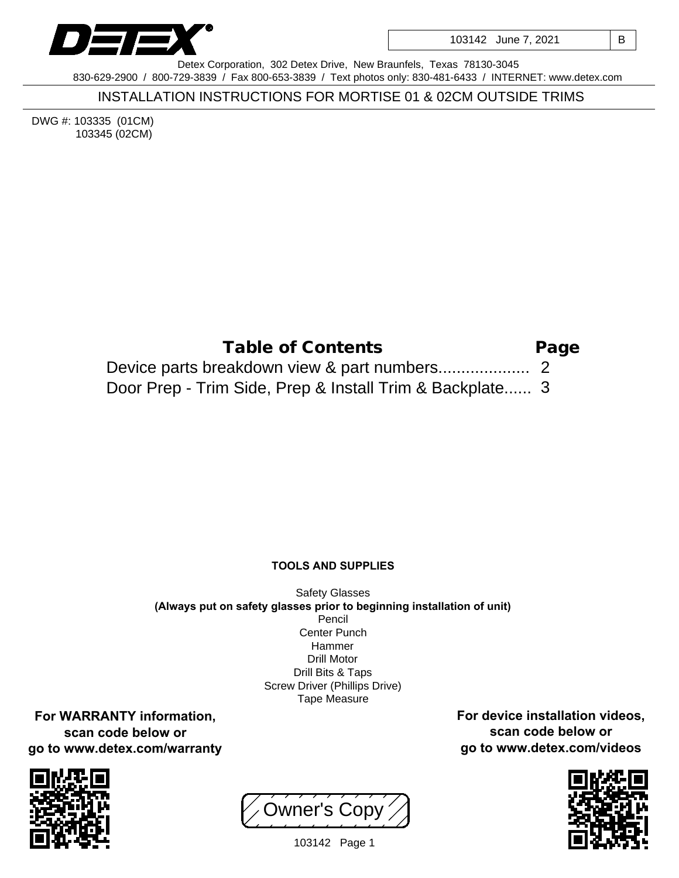

103142 June 7, 2021 | B

Detex Corporation, 302 Detex Drive, New Braunfels, Texas 78130-3045 830-629-2900 / 800-729-3839 / Fax 800-653-3839 / Text photos only: 830-481-6433 / INTERNET: www.detex.com

INSTALLATION INSTRUCTIONS FOR MORTISE 01 & 02CM OUTSIDE TRIMS

DWG #: 103335 (01CM) 103345 (02CM)

| Table of Contents                                        | Page |
|----------------------------------------------------------|------|
|                                                          |      |
| Door Prep - Trim Side, Prep & Install Trim & Backplate 3 |      |

## **TOOLS AND SUPPLIES**

Safety Glasses **(Always put on safety glasses prior to beginning installation of unit)** Pencil Center Punch Hammer Drill Motor Drill Bits & Taps Screw Driver (Phillips Drive) Tape Measure

**For WARRANTY information, scan code below or go to www.detex.com/warranty**



Owner's Copy



**For device installation videos, scan code below or go to www.detex.com/videos**

103142 Page 1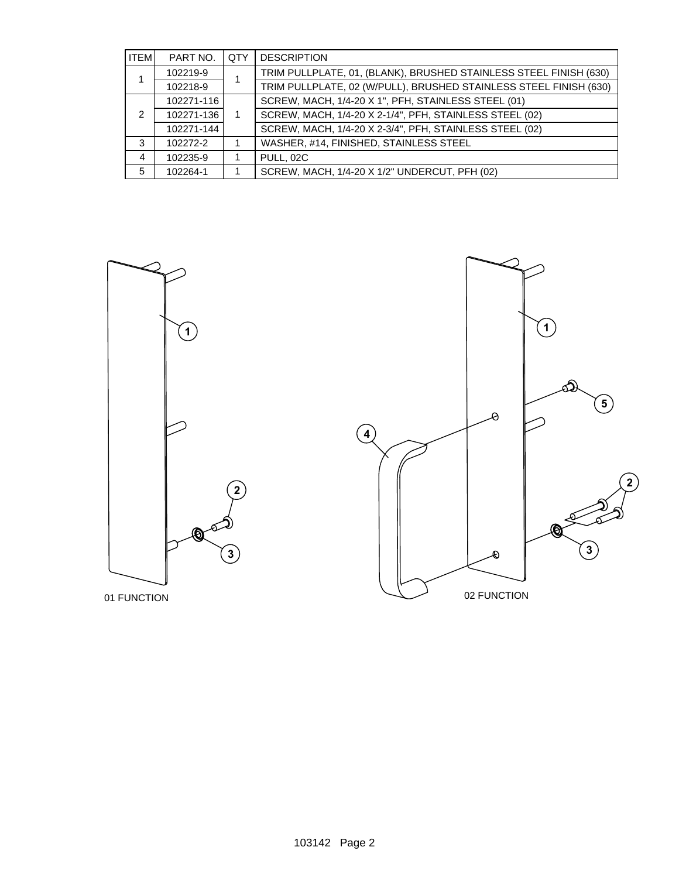| <b>ITEM</b> | PART NO.   | <b>QTY</b> | <b>DESCRIPTION</b>                                                |  |
|-------------|------------|------------|-------------------------------------------------------------------|--|
|             | 102219-9   |            | TRIM PULLPLATE, 01, (BLANK), BRUSHED STAINLESS STEEL FINISH (630) |  |
|             | 102218-9   |            | TRIM PULLPLATE, 02 (W/PULL), BRUSHED STAINLESS STEEL FINISH (630) |  |
|             | 102271-116 |            | SCREW, MACH, 1/4-20 X 1", PFH, STAINLESS STEEL (01)               |  |
| 2           | 102271-136 |            | SCREW, MACH, 1/4-20 X 2-1/4", PFH, STAINLESS STEEL (02)           |  |
|             | 102271-144 |            | SCREW, MACH, 1/4-20 X 2-3/4", PFH, STAINLESS STEEL (02)           |  |
| 3           | 102272-2   |            | WASHER, #14, FINISHED, STAINLESS STEEL                            |  |
| 4           | 102235-9   |            | PULL, 02C                                                         |  |
| 5           | 102264-1   |            | SCREW, MACH, 1/4-20 X 1/2" UNDERCUT, PFH (02)                     |  |